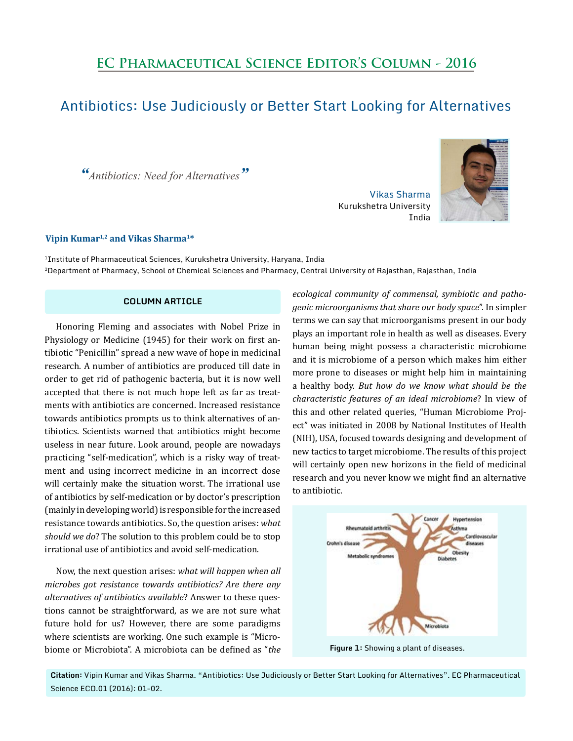# **EC Pharmaceutical Science Editor's Column - 2016**

## Antibiotics: Use Judiciously or Better Start Looking for Alternatives

*"Antibiotics: Need for Alternatives"*

### **Vipin Kumar1,2 and Vikas Sharma1\***

<sup>1</sup>Institute of Pharmaceutical Sciences, Kurukshetra University, Haryana, India 2Department of Pharmacy, School of Chemical Sciences and Pharmacy, Central University of Rajasthan, Rajasthan, India

#### **COLUMN ARTICLE**

Honoring Fleming and associates with Nobel Prize in Physiology or Medicine (1945) for their work on first antibiotic "Penicillin" spread a new wave of hope in medicinal research. A number of antibiotics are produced till date in order to get rid of pathogenic bacteria, but it is now well accepted that there is not much hope left as far as treatments with antibiotics are concerned. Increased resistance towards antibiotics prompts us to think alternatives of antibiotics. Scientists warned that antibiotics might become useless in near future. Look around, people are nowadays practicing "self-medication", which is a risky way of treatment and using incorrect medicine in an incorrect dose will certainly make the situation worst. The irrational use of antibiotics by self-medication or by doctor's prescription (mainly in developing world) is responsible for the increased resistance towards antibiotics. So, the question arises: *what should we do*? The solution to this problem could be to stop irrational use of antibiotics and avoid self-medication.

Now, the next question arises: *what will happen when all microbes got resistance towards antibiotics? Are there any alternatives of antibiotics available*? Answer to these questions cannot be straightforward, as we are not sure what future hold for us? However, there are some paradigms where scientists are working. One such example is "Microbiome or Microbiota". A microbiota can be defined as "*the* 

*ecological community of commensal, symbiotic and pathogenic microorganisms that share our body space*". In simpler terms we can say that microorganisms present in our body plays an important role in health as well as diseases. Every human being might possess a characteristic microbiome and it is microbiome of a person which makes him either more prone to diseases or might help him in maintaining a healthy body. *But how do we know what should be the characteristic features of an ideal microbiome*? In view of this and other related queries, "Human Microbiome Project" was initiated in 2008 by National Institutes of Health (NIH), USA, focused towards designing and development of new tactics to target microbiome. The results of this project will certainly open new horizons in the field of medicinal research and you never know we might find an alternative to antibiotic.

Vikas Sharma

India

Kurukshetra University



**Figure 1:** Showing a plant of diseases.

**Citation:** Vipin Kumar and Vikas Sharma. "Antibiotics: Use Judiciously or Better Start Looking for Alternatives". EC Pharmaceutical Science ECO.01 (2016): 01-02.